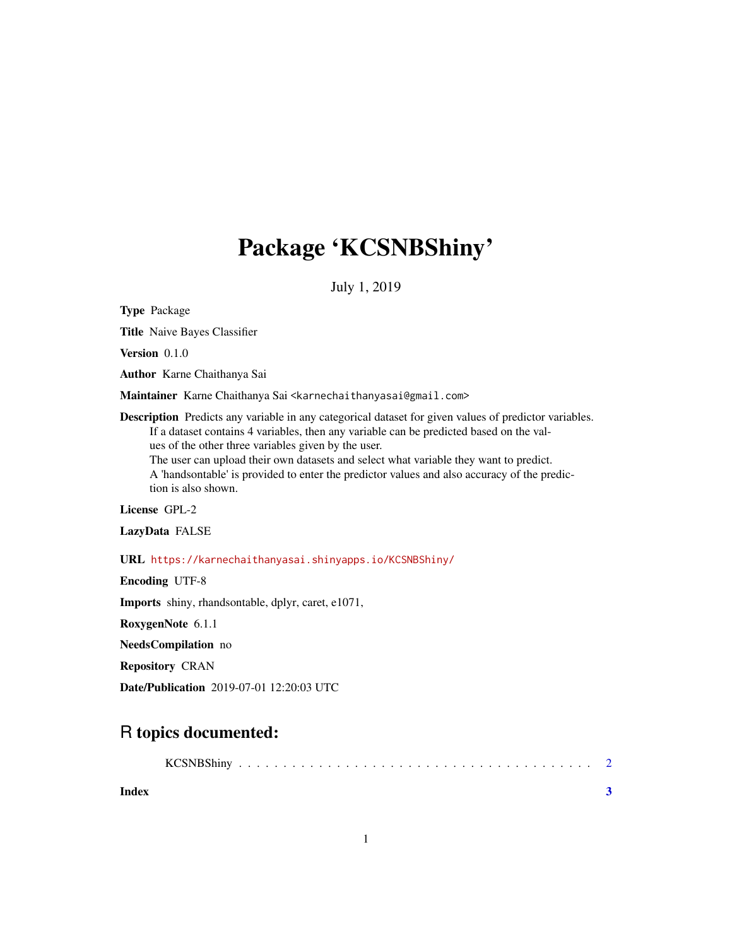## Package 'KCSNBShiny'

July 1, 2019

Type Package

Title Naive Bayes Classifier

Version 0.1.0

Author Karne Chaithanya Sai

Maintainer Karne Chaithanya Sai <karnechaithanyasai@gmail.com>

Description Predicts any variable in any categorical dataset for given values of predictor variables. If a dataset contains 4 variables, then any variable can be predicted based on the values of the other three variables given by the user.

The user can upload their own datasets and select what variable they want to predict. A 'handsontable' is provided to enter the predictor values and also accuracy of the prediction is also shown.

License GPL-2

LazyData FALSE

URL <https://karnechaithanyasai.shinyapps.io/KCSNBShiny/>

Encoding UTF-8

Imports shiny, rhandsontable, dplyr, caret, e1071,

RoxygenNote 6.1.1

NeedsCompilation no

Repository CRAN

Date/Publication 2019-07-01 12:20:03 UTC

### R topics documented:

| <b>KCSNBShiny</b> |  |  |  |  |  |  |  |  |  |  |  |  |  |  |  |  |  |  |  |  |  |  |  |  |  |  |  |  |  |  |  |  |  |  |  |  |  |  |  |  |
|-------------------|--|--|--|--|--|--|--|--|--|--|--|--|--|--|--|--|--|--|--|--|--|--|--|--|--|--|--|--|--|--|--|--|--|--|--|--|--|--|--|--|
|-------------------|--|--|--|--|--|--|--|--|--|--|--|--|--|--|--|--|--|--|--|--|--|--|--|--|--|--|--|--|--|--|--|--|--|--|--|--|--|--|--|--|

**Index** [3](#page-2-0)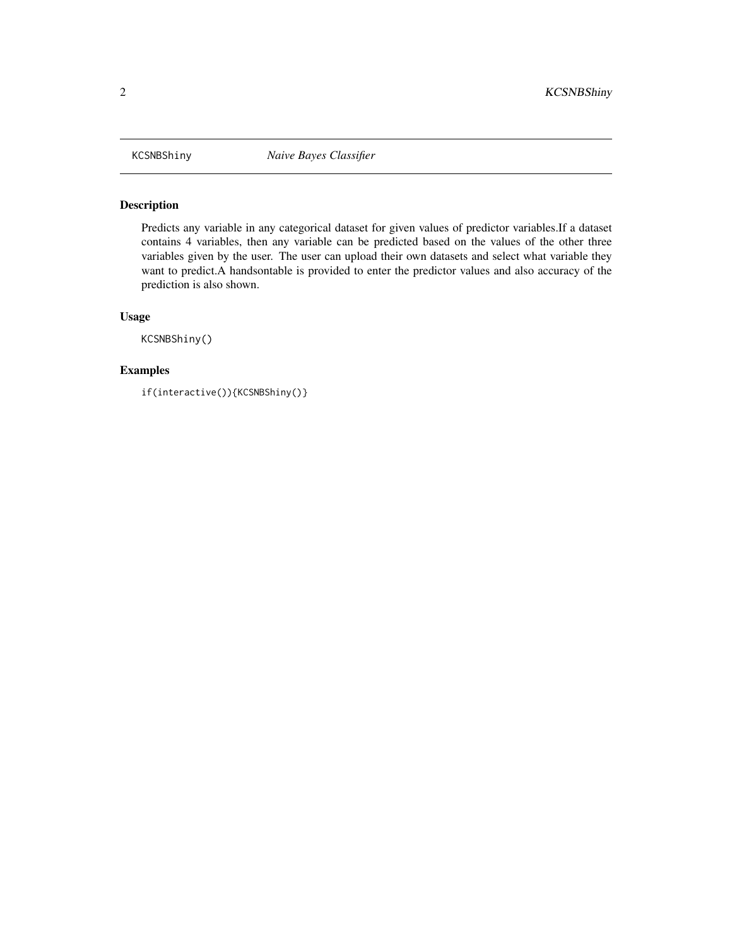<span id="page-1-0"></span>

#### Description

Predicts any variable in any categorical dataset for given values of predictor variables.If a dataset contains 4 variables, then any variable can be predicted based on the values of the other three variables given by the user. The user can upload their own datasets and select what variable they want to predict.A handsontable is provided to enter the predictor values and also accuracy of the prediction is also shown.

#### Usage

KCSNBShiny()

#### Examples

if(interactive()){KCSNBShiny()}